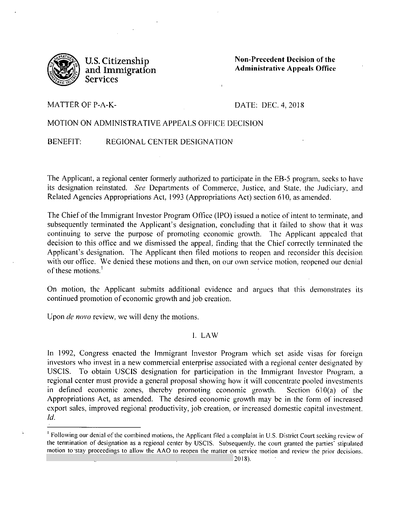

**U.S. Citizenship and Immigration Services** 

**Non-Precedent Decision of the Administrative Appeals Office** 

# MATTER OF P-A-K-

### DATE: DEC. 4, 2018

# MOTION ON ADMINISTRA TlVE APPEALS OFFICE DECISION

.

# BENEFIT: REGIONAL CENTER DESIGNATION

The Applicant, a regional center fonnerly authorized to participate in the EB-5 program, seeks to have its designation reinstated. *See* Departments of Commerce, Justice, and State, the Judiciary, and Related Agencies Appropriations Act, 1993 (Appropriations Act) section 610, as amended.

The Chief of the Immigrant Investor Program Office (IPO) issued a notice of intent to terminate, and subsequently terminated the Applicant's designation, concluding that it failed to show that it was continuing to serve the purpose of promoting economic growth. The Applicant appealed that decision to this office and we dismissed the appeal, finding that the Chief correctly terminated the Applicant's designation. The Applicant then filed motions to reopen and reconsider this decision with our office. We denied these motions and then, on our own service motion, reopened our denial of these motions.<sup>1</sup>

On motion, the Applicant submits additional evidence and argues that this demonstrates its continued promotion of economic growth and job creation.

Upon *de novo* review, we will deny the motions.

# I. LAW

In 1992, Congress enacted the Immigrant Investor Program which set aside visas for foreign investors who invest in a new commercial enterprise associated with a regional center designated by USCIS. To obtain USCIS designation for participation in the Immigrant Investor Program, a regional center must provide a general proposal showing how it will concentrate pooled investments in defined economic zones, thereby promoting economic growth. Section  $610(a)$  of the Appropriations Act, as amended. The desired economic growth may be in the form of increased export sales, improved regional productivity, job creation, or increased domestic capital investment. Id.

<sup>&</sup>lt;sup>1</sup> Following our denial of the combined motions, the Applicant filed a complaint in U.S. District Court seeking review of the termination of designation as a regional center by USCIS. Subsequently, the court granted the parties' stipulated motion to stay proceedings to allow the AAO to reopen the matter on service motion and review the prior decisions.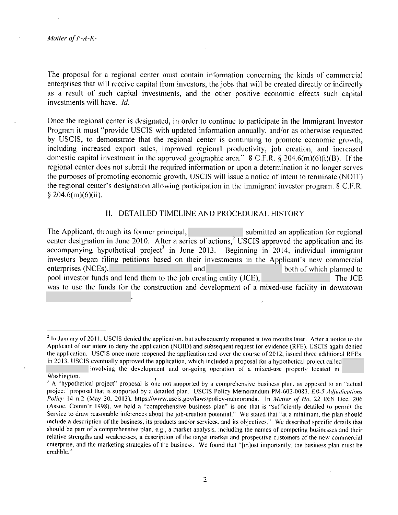*Matier of P-A-K-*

.

The proposal for a regional center must contain information concerning the kinds of commercial enterprises that will receive capital from investors, the jobs that will be created directly or indirectly as a result of such capital investments, and the other positive economic effects such capital investments will have. Id.

Once the regional center is designated, in order to continue to participate in the Immigrant Investor Program it must "provide USCIS with updated information annually. and/or as otherwise requested by USC!S, to demonstrate that the regional center is continuing to promote economic growth, including increased export sales, improved regional productivity, job creation, and increased domestic capital investment in the approved geographic area." 8 C.F.R. § 204.6(m)(6)(i)(B). If the regional center does not submit the required information or upon a determination it no longer serves the purposes of promoting economic growth. USCIS will issue a notice of intent to terminate (NOIT) the regional center's designation allowing participation in the immigrant investor program. 8 C.F.R.  $$204.6(m)(6)(ii).$ 

### **11.** DETAILED TIMELINE AND PROCEDURAL HISTORY

The Applicant, through its former principal, submitted an application for regional center designation in June 2010. After a series of actions,<sup>2</sup> USCIS approved the application and its accompanying hypothetical project<sup>3</sup> in June 2013. Beginning in 2014, individual immigrant investors began filing petitions based on their investments in the Applicant's new commercial enterprises (NCEs), and and both of which planned to both of which planned to pool investor funds and lend them to the job creating entity (JCE), The JCE was to use the funds for the construction and development of a mixed-use facility in downtown

 $<sup>2</sup>$  In January of 2011. USCIS denied the application, but subsequently reopened it two months later. After a notice to the</sup> Applicant of our intent to deny the application (NOID) and subsequent request for evidence (RFE). USCIS again denied the application. USCIS once more reopened the application and over the course of 2012, issued three additional RFEs. In 2013. USCIS eventually approved the application. which included a proposal for a hypothetical project called

involving the development and on-going operation of a mixed-use property located in Washington.

 $^3$  A "hypothetical project" proposal is one not supported by a comprehensive business plan, as opposed to an "actual project" proposal that is supported by a detailed plan. USCIS Policy Memorandum PM-602-0083. EB-5 *Adjudications Policy* 14 n.2 (May 30, 2013). https://www.uscis.gov/laws/policy-memoranda. In *Matter of Ho,* 22 l&N Dec. 206 (Assoc. Comm'r 1998), we held a "comprehensive business plan" is one that is "sufficiently detailed to permit the Service to draw reasonable inferences about the job-creation potential." We stated that ''at a minimum. the plan should include a description of the business, its products and/or services. and its objectives."' We described specific details that should be part of a comprehensive plan, e.g., a market analysis. including the names of competing businesses and their relative strengths and weaknesses, a description of the target market and prospective customers of the new commercial enterprise, and the marketing strategies of the business. We found that "[m]ost importantly, the business plan must be credible."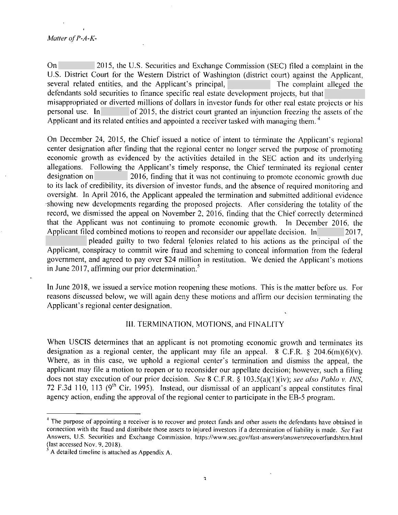On 2015, the U.S. Securities and Exchange Commission (SEC) filed a complaint in the U.S. District Court for the Western District of Washington (district court) against the Applicant, several related entities, and the Applicant's principal, The complaint alleged the defendants sold securities to finance specific real estate development projects, but that misappropriated or diverted millions of dollars in investor funds for other real estate projects or his personal use. In of 2015, the district court granted an injunction freezing the assets of the Applicant and its related entities and appointed a receiver tasked with managing them.<sup>4</sup>

On December 24, 2015, the Chief issued a notice of intent to terminate the Applicant's regional center designation atler finding that the regional center no longer served the purpose of promoting economic growth as evidenced by the activities detailed in the SEC action and its underlying allegations. Following the Applicant's timely response, the Chief terminated its regional center designation on 2016, finding that it was not continuing to promote economic growth due to its lack of credibility, its diversion of investor funds, and the absence of required monitoring and oversight. In April 2016, the Applicant appealed the termination and submitted additional evidence -showing new developments regarding the proposed projects. Aller considering the totality of the record, we dismissed the appeal on November 2. 2016, finding that the Chief correctly determined that the Applicant was not continuing to promote economic growth. In December 2016, the Applicant filed combined motions to reopen and reconsider our appellate decision. In  $\sim$  2017,

pleaded guilty to two federal felonies related to his actions as the principal of the Applicant, conspiracy to commit wire fraud and scheming to conceal information from the federal government, and agreed to pay over \$24 million in restitution. We denied the Applicant's motions in June 2017, affirming our prior determination.<sup>5</sup>

In June 2018, we issued a service motion reopening these motions. This is the matter before us. For reasons discussed below, we will again deny these motions and affirm our decision terminating the Applicant's regional center designation.

# Ill. TERMINATION, MOTIONS, and FINALITY

When USCIS determines that an applicant is not promoting economic growth and terminates its designation as a regional center, the applicant may file an appeal.  $8 \text{ C.F.R.}$   $8 \text{ } 204.6 \text{(m)}(6)$  (v). Where, as in this case, we uphold a regional center's termination and dismiss the appeal, the applicant may file a motion to reopen or to reconsider our appellate decision: however, such a filing does not stay execution of our prior decision. *See* 8 C.F.R. § 103.5(a)(l )(iv); *see also Pablo v. INS,*  72 F.3d 110, 113 ( $9<sup>th</sup>$  Cir. 1995). Instead, our dismissal of an applicant's appeal constitutes final agency action, ending the approval of the regional center to participate in the EB-5 program.

<sup>&</sup>lt;sup>4</sup> The purpose of appointing a receiver is to recover and protect funds and other assets the defendants have obtained in connection with the fraud and distribute those assets to injured investors if a determination of liability is made. *See* Fast Answers, U.S. Securities and Exchange Commission, https://www.sec.gov/fast-answers/answersrccoverfundshtm.htrnl (last accessed Nov. 9.2018).

<sup>~</sup> A detailed timeline is attached as Appendix A.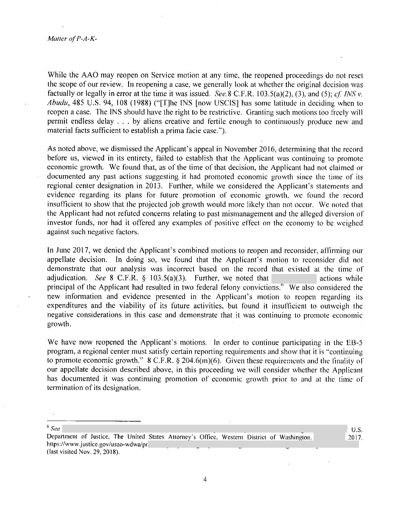While the AAO may reopen on Service motion at any time, the reopened proceedings do not reset the scope of our review. In reopening a case, we generally look at whether the original decision was factually or legally in error at the time it was issued. *See.8* C.f.R. 103.5(a)(2), (3), and (5); *cf INS v. Ahudu,* 485 U.S. 94, 108 (1988) ("[T]he [NS [now USClS] has some latitude in deciding when to reopen a case. The INS should have the right to be restrictive. Granting such motions too freely will permit endless delay ... by aliens. creative and fertile enough to continuously produce new and material facts sufficient to establish a prima facie case.").

As noted above, we dismissed the Applicant's appeal in November 2016, determining that the record before us, viewed in its entirety, failed to establish that the Applicant was continuing to promote economic growth. We found that, as of the time of that decision, the Applicant had not claimed or documented any past actions suggesting it had promoted economic growth since the time of its regional center designation in 2013. Further, while we considered the Applicant's statements and evidence regarding its plans for future promotion of economic growth, we found the record insufficient to show that the projected job growth would more likely than not occur. We noted that the Applicant had not refuted concerns relating to past mismanagement and the alleged diversion of investor funds, nor had it offered any examples of positive effect on the economy to be weighed against such negative factors.

ln June 2017, we denied the Applicant's combined motions to reopen and reconsider, affirming our appellate decision. In doing so, we found that the Applicant's motion to reconsider did not demonstrate that our analysis was incorrect based on the record that existed at the time of adjudication. *See* 8 C.F.R.  $\S$  103.5(a)(3). Further, we noted that actions while principal of the Applicant had resulted in two federal felony convictions.<sup>8</sup> We also considered the new information and evidence presented in the Applicant's motion to reopen regarding its expenditures and the viability of its future activities, but found it insufficient to outweigh the negative considerations in this case and demonstrate that it was continuing to promote economic growth.

We have now reopened the Applicant's motions. In order to continue participating in the EB-5 program, a regional center must satisfy certain reporting requirements and show that it is "continuing to promote economic growth." 8 C.F.R. § 204.6(m)(6). Given these requirements and the finality of our appellate decision described above, in this proceeding we will consider whether the Applicant has documented it was continuing promotion of economic growth prior to and at the time of termination of its designation.

6 *See* 

4

U.S. 2017.

Department of Justice, The United States Attorney's Office. Western District of Washington, https://www.justice.gov/usao-wdwa/pr/ (last visited Nov. 29, 2018).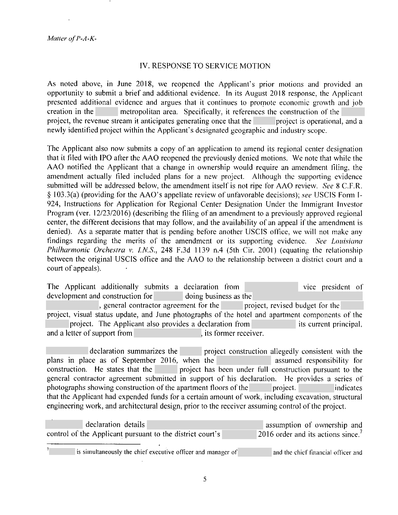# IV. RESPONSE TO SERVICE MOTION

As noted above, in June 2018, we reopened the Applicant's prior motions and provided an opportunity to submit a brief and additional evidence. In its August 2018 response, the Applicant presented additional evidence and argues that it continues to promote economic growth and job creation in the metropolitan area. Specifically, it references the construction of the project, the revenue stream it anticipates generating once that the project is operational, and a newly identified project within the Applicant's designated geographic and industry scope.

The Applicant also now submits a copy of an application to amend its regional center designation that it filed with !PO after the AAO reopened the previously denied motions. We note that while the AAO notified the Applicant that a change in ownership would require an amendment filing, the amendment actually filed included plans for a new project. Although the supporting evidence submitted will be addressed below, the amendment itself is not ripe for AAO review. *See* 8 C.F.R. § I 03.3(a) (providing .for the AAO's appellate review of unfavorable decisions); *see* USCIS Form 1- 924, Instructions for Application for Regional Center Designation Under the Immigrant Investor Program (ver. 12/23/2016) (describing the filing of an amendment to a previously approved regional center, the different decisions that may follow, and the availability of an appeal if the amendment is denied). As a separate matter that is pending before another USCIS office, we will not make any findings regarding the merits of the amendment or its supporting evidence. *See Louisiana Philharmonic Orchestra v. I.NS.,* 248 F.3d 1139 n.4 (5th Cir. 2001) (equating the relationship between the original USCIS office and the AAO to the relationship between a district court and a court of appeals).

The Applicant additionally submits a declaration from vice vice president of development and construction for doing business as the , general contractor agreement for the project, revised budget for the project, visual status update, and June photographs of the hotel and apartment components of the project. The Applicant also provides a declaration from its current principal, and a letter of support from **the support of the set of support from**  $\alpha$ , its former receiver.

declaration summarizes the project construction allegedly consistent with the plans in place as of September 2016, when the assumed responsibility for construction. He states that the project has been under full construction pursuant to the general contractor agreement submitted in support of his declaration. He provides a series of photographs showing construction of the apartment floors of the project. indicates that the Applicant had expended funds for a certain amount of work, including excavation, structural engineering work, and architectural design, prior to the receiver assuming control of the project.

| declaration details                                       | assumption of ownership and        |
|-----------------------------------------------------------|------------------------------------|
| control of the Applicant pursuant to the district court's | 12016 order and its actions since. |
|                                                           |                                    |

is simultaneously the chief executive officer and manager of and the chief financial officer and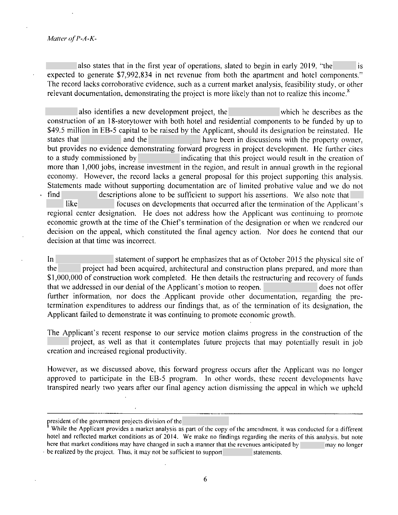#### *Malter of I'-A-K-*

.

also states that in the first year of operations, slated to begin in early 2019, "the is expected to generate \$7,992,834 in net revenue from both the apartment and hotel components." The record lacks corroborative evidence, such as a current market analysis, feasibility study, or other relevant documentation, demonstrating the project is more likely than not to realize this income.<sup>8</sup>

also identifies a new development project, the which he describes as the construction of an 18-storytower with both hotel and residential components to be funded by up to \$49.5 million in EB-5 capital to be raised by the Applicant, should its designation be reinstated. He states that and the have been in discussions with the property owner, but provides no evidence demonstrating forward progress in project development. He further cites to a study commissioned by indicating that this project would result in the creation of more than 1,000 jobs, increase investment in the region, and result in annual growth in the regional economy. However, the record lacks a general proposal for this project supporting this analysis. Statements made without supporting documentation are of limited probative value and we do not find descriptions alone to be sufficient to support his assertions. We also note that

like focuses on developments that occurred alter the termination of the Applicant's regional center designation. He does not address how the Applicant was continuing to promote economic growth at the time of the Chief's termination of the designation or when we rendered our decision on the appeal, which constituted the final agency action. Nor docs he contend that our decision at that time was incorrect.

In statement of support he emphasizes that as of October 2015 the physical site of the project had been acquired, architectural and construction plans prepared, and more than \$1,000,000 of construction work completed. He then details the restructuring and recovery of funds that we addressed in our denial of the Applicant's motion to reopen. does not offer further information, nor does the .Applicant provide other documentation, regarding the pretermination expenditures to address our findings that, as of the termination of its designation, the Applicant failed to demonstrate it was continuing to promote economic growth.

The Applicant's recent response to our service motion claims progress in the construction of the project, as well as that it contemplates future projects that may potentially result in job creation and increased regional productivity.

However, as we discussed above, this forward progress occurs after the Applicant was no longer approved to participate in the EB-5 program. In other words, these recent developments have transpired nearly two years after our final agency action dismissing the appeal in which we upheld

president of the government projects division of the

While the Applicant provides a market analysis as part of the copy of the amendment, it was conducted for a different hotel and reflected market conditions as of 2014. We make no findings regarding the merits of this analysis. but note here that market conditions may have changed in such a manner that the revenues anticipated by may no longer be realized by the project. Thus, it may not be sufficient to support statements.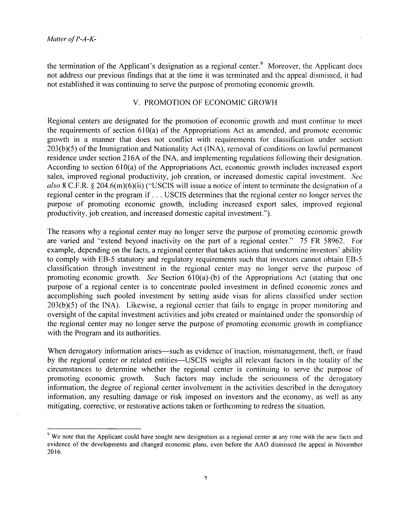the termination of the Applicant's designation as a regional center. $9$  Moreover, the Applicant does not address our previous findings that at the time it was terminated and the appeal dismissed, it had not established it was continuing to serve the purpose of promoting economic growth.

# V. PROMOTION OF ECONOMIC GROWH

Regional centers are designated for the promotion of economic growth and must continue to meet the requirements of section  $610(a)$  of the Appropriations Act as amended, and promote economic growth in a manner that does not conflict with requirements for classification under section 203(b)(5) of the Immigration and Nationality Act (INA), removal of conditions on lawful permanent residence under section 216A of the INA, and implementing regulations following their designation. According to section 610(a) of the Appropriations Act, economic growth includes increased export sales, improved regional productivity, job creation, or increased domestic capital investment. *See also* 8 C.F.R. § 204.6(m)(6)(ii) ("USCIS will issue a notice of intent to terminate the designation of a regional center in the program if ... USCIS determines that the regional center no longer serves the purpose of promoting economic growth, including increased export sales, improved regional productivity, job creation, and increased domestic capital investment.").

The reasons why a regional center may no longer serve the purpose of promoting economic growth are varied and "extend beyond inactivity on the part of a regional center." 75 FR 58962. For example, depending on the facts, a regional center that takes actions that undermine investors' ability to comply with EB-5 statutory and regulatory requirements such that investors cannot obtain EB-5 classification through investment in the regional center may no longer serve the purpose of promoting economic growth. *See* Section 610(a)-(b) of the Appropriations Act (stating that one purpose of a regional center is to concentrate pooled investment in delined economic zones and accomplishing such pooled investment by setting aside visas for aliens classified under section  $203(b)(5)$  of the INA). Likewise, a regional center that fails to engage in proper monitoring and oversight of the capital investment activities and jobs created or maintained under the sponsorship of the regional center may no longer serve the purpose of promoting economic growth in compliance with the Program and its authorities.

When derogatory information arises—such as evidence of inaction, mismanagement, theft, or fraud by the regional center or related entities-USCIS weighs all relevant factors in the totality of the circumstances to determine whether the regional center is continuing to serve the purpose of promoting economic growth. Such factors may include the seriousness of the derogatory information, the degree of regional center involvement in the activities described in the derogatory information, any resulting damage or risk imposed on investors and the economy, as well as any mitigating, corrective, or restorative actions taken or forthcoming to redress the situation.

<sup>&</sup>lt;sup>9</sup> We note that the Applicant could have sought new designation as a regional center at any time with the new facts and evidence of the developments and changed economic plans. even before the AAO dismissed the appeal in November 2016.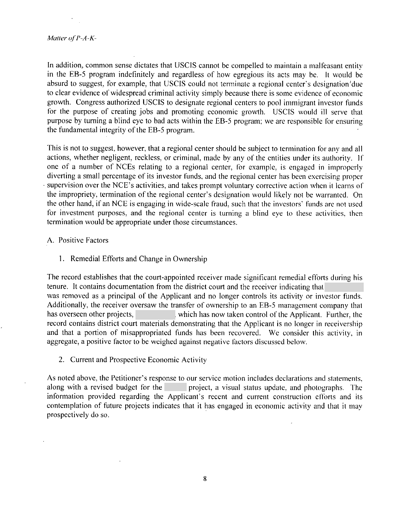In addition, common sense dictates that USCIS cannot be compelled to maintain a malfeasant entity in the EB-5 program indefinitely and regardless of how egregious its acts may be. It would be absurd to suggest, for example, that USCJS could not terminate a regional center's dcsignation 'due to clear evidence of widespread criminal activity simply because there is some evidence of economic growth. Congress authorized USCIS to designate regional centers to pool immigrant investor funds for the purpose of creating jobs and promoting economic growth. USCIS would ill serve that purpose by turning a blind eye to bad acts within the EB-5 program; we are responsible for ensuring the fundamental integrity of the EB-5 program.

This is not to suggest, however, that a regional center should be subject to termination for any and all actions, whether negligent, reckless, or criminal, made by any of the entities under its authority. If one of a number of NCEs relating to a regional center, for example, is engaged in improperly diverting a small percentage of its investor funds, and the regional center has been exercising proper supervision over the NCE's activities, and takes prompt voluntary corrective action when it learns of the impropriety, termination of the regional center's designation would likely not be warranted. On the other hand, if an NCE is engaging in wide-scale fraud, such that the investors' funds are not used for investment purposes, and the regional center is turning a blind eye to these activities, then termination would be appropriate under those circumstances.

### A. Positive Factors

1. Remedial Efforts and Change in Ownership

The record establishes that the court-appointed receiver made significant remedial efforts during his tenure. It contains documentation from the district court and the receiver indicating that was removed as a principal of the Applicant and no longer controls its activity or investor funds. Additionally, the receiver oversaw the transfer of ownership to an EB-5 management company that has overseen other projects, which has now taken control of the Applicant. Further, the record contains district court materials demonstrating that the Applicant is no longer in receivership and that a portion of misappropriated funds has been recovered. We consider this activity, in aggregate, a positive factor to be weighed against negative factors discussed below.

2. Current and Prospective Economic Activity

As noted above, the Petitioner's response to our service motion includes declarations and statements, along with a revised budget for the project, a visual status update, and photographs. The information provided regarding the Applicant's recent and current construction efforts and its contemplation of future projects indicates that it has engaged in economic activity and that it may prospectively do so.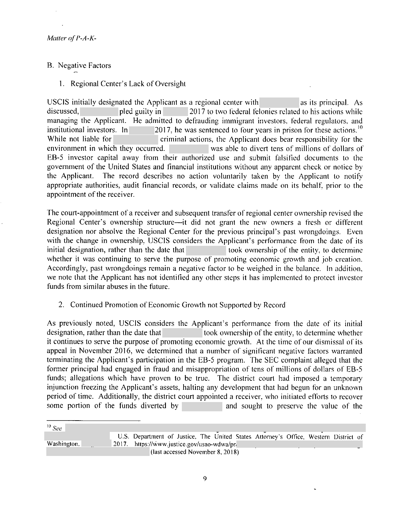- B. Negative Factors
	- l. Regional Center's Lack of Oversight

USCIS initially designated the Applicant as a regional center with as its principal. As discussed, pied guilty in 2017 to two federal felonies related to his actions while managing the Applicant. He admitted to defrauding immigrant investors, federal regulators, and institutional investors. In  $\sim$  2017, he was sentenced to four years in prison for these actions.<sup>10</sup> 2017, he was sentenced to four years in prison for these actions.  $10$ While not liable for **criminal actions**, the Applicant does bear responsibility for the environment in which they occurred. was able to divert tens of millions of dollars of EB-5 investor capital away from their authorized use and submit falsified documents to the government of the United States and financial institutions without any apparent check or notice by the Applicant. The record describes no action voluntarily taken by the Applicant to notify appropriate authorities, audit financial records, or validate claims made on its behalf, prior to the appointment of the receiver.

The court-appointment of a receiver and subsequent transfer of regional center ownership revised the Regional Center's ownership structure—it did not grant the new owners a fresh or different designation nor absolve the Regional Center for the previous principal's past wrongdoings. Even with the change in ownership, USCIS considers the Applicant's performance from the date of its initial designation, rather than the date that took ownership of the entity, to determine whether it was continuing to serve the purpose of promoting economic growth and job creation. Accordingly, past wrongdoings remain a negative factor to be weighed in the balance. In addition, we note that the Applicant has not identified any other steps it has implemented to protect investor funds from similar abuses in the future.

2. Continued Promotion of Economic Growth not Supported by Record

As previously noted, USCIS considers the Applicant's performance from the date of its initial designation, rather than the date that took ownership of the entity, to determine whether it continues to serve the purpose of promoting economic growth. At the time of our dismissal of its appeal in November 2016, we determined that a number of significant negative factors warranted terminating the Applicant's participation in the EB-5 program. The SEC complaint alleged that the former principal had engaged in fraud and misappropriation of tens of millions of dollars of EB-5 funds; allegations which have proven to be true. The district court had imposed a temporary injunction freezing the Applicant's assets, halting any development that had begun for an unknown period of time. Additionally, the district court appointed a receiver, who initiated efforts to recover some portion of the funds diverted by and sought to preserve the value of the

| $10$ See                         |                                             |                                                                                      |  |  |  |  |  |  |
|----------------------------------|---------------------------------------------|--------------------------------------------------------------------------------------|--|--|--|--|--|--|
|                                  |                                             | U.S. Department of Justice, The United States Attorney's Office, Western District of |  |  |  |  |  |  |
| Washington,                      | 2017. https://www.justice.gov/usao-wdwa/pr/ |                                                                                      |  |  |  |  |  |  |
| (last accessed November 8, 2018) |                                             |                                                                                      |  |  |  |  |  |  |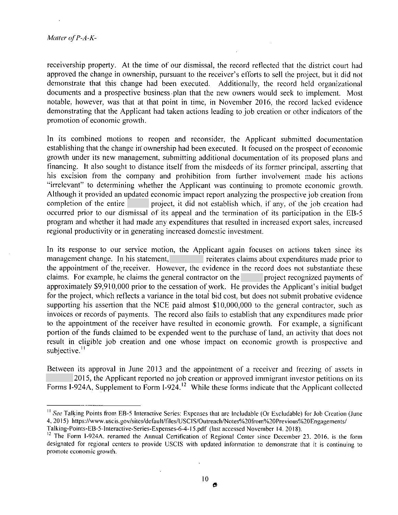receivership property. At the time of our dismissal, the record reflected that the district court had approved the change in ownership, pursuant to the receiver's efforts to sell the project, but it did not demonstrate that this change had been executed. Additionally, the record held organizational documents and a prospective business. plan that the new owners would seek to implement. Most notable, however, was that at that point in time, in November 2016, the record lacked evidence demonstrating that the Applicant had taken actions leading to job creation or other indicators of the promotion of economic growth.

In its combined motions to reopen and reconsider, the Applicant submitted documentation establishing that the change in ownership had been executed. It focused on the prospect of economic growth under its new management, submitting additional documentation of its proposed plans and financing. It also sought to distance itself from the misdeeds of its former principal, asserting that his excision from the company and prohibition from further involvement made his actions "irrelevant" to determining whether the Applicant was continuing to promote economic growth. Although it provided an updated economic impact report analyzing the prospective job creation from completion of the entire project, it did not establish which, if any, of the job creation had occurred prior to our dismissal of its appeal and the termination of its participation in the EB-5 program and whether it had made any expenditures that resulted in increased export sales, increased regional productivity or in generating increased domestic investment.

In its response to our service motion, the Applicant again focuses on actions taken since its management change. In his statement, reiterates claims about expenditures made prior to the appointment of the receiver. However, the evidence in the record does not substantiate these claims. For example, he claims the general contractor on the project recognized payments of approximately \$9,910,000 prior to the cessation of work. He provides the Applicant's initial budget for the project, which reflects a variance in the total bid cost, but does not submit probative evidence supporting his assertion that the NCE paid almost \$10,000,000 to the general contractor, such as invoices or records of payments. The record also fails to establish that any expenditures made prior to the appointment of the receiver have resulted in economic growth. For example, a significant portion of the funds claimed to be expended went to the purchase of land, an activity that does not result in eligible job creation and one whose impact on economic growth is prospective and subjective. $\frac{11}{2}$ 

Between its approval in June 2013 and the appointment of a receiver and freezing of assets in 2015, the Applicant reported no job creation or approved immigrant investor petitions on its Forms I-924A, Supplement to Form I-924.<sup>12</sup> While these forms indicate that the Applicant collected

<sup>&</sup>lt;sup>11</sup> See Talking Points from EB-5 Interactive Series: Expenses that are Includable (Or Excludable) for Job Creation (June 4, 2015) https://www.uscis.gov/sites/default/files/USCIS/Outreach/Notes%20from%20Previous%20Engagements/

Talking-Points-EB-5-lnteractive-Series-Expenses-6-4-15.pdf (last accessed November 14.2018).

 $12$  The Form 1-924A, renamed the Annual Certification of Regional Center since December 23, 2016, is the form designated for regional centers to provide USCIS with updated information to demonstrate that it is continuing to promote economic growth.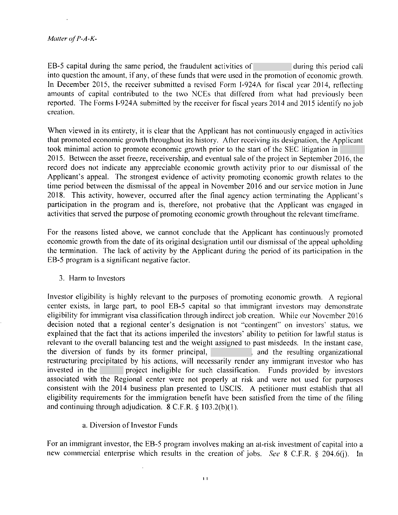EB-5 capital during the same period, the fraudulent activities of during this period call into question the amount, if any, of these funds that were used in the promotion of economic growth. In December 2015, the receiver submitted a revised Form I-924A for fiscal year 2014, reflecting amounts of capital contributed to the two NCEs that differed from what had previously been reported. The Forms I-924A submitted by the receiver for fiscal years 2014 and 2015 identify no job creation.

When viewed in its entirety, it is clear that the Applicant has not continuously engaged in activities that promoted economic growth throughout its history. After receiving its designation, the Applicant took minimal action to promote economic growth prior to the start of the SEC litigation in 2015. Between the asset freeze, receivership, and eventual sale of the project in September 2016, the record does not indicate any appreciable economic growth activity prior to our dismissal of the Applicant's appeal. The strongest evidence of activity promoting economic growth relates to the time period between the dismissal of the appeal in November 2016 and our service motion in June 2018. This activity, however, occurred after the final agency action terminating the Applicant's participation in the program and is, therefore, not probative that the Applicant was engaged in activities that served the purpose of promoting economic growth throughout the relevant time frame.

For the reasons listed above, we cannot conclude that the Applicant has continuously promoted economic growth from the date of its original designation until our dismissal of the appeal upholding the termination. The lack of activity by the Applicant during the period of its participation in the EB-5 program is a significant negative factor.

3. Harm to Investors

Investor eligibility is highly relevant to the purposes of promoting economic growth. A regional center exists, in large part, to pool EB-5 capital so that immigrant investors may demonstrate eligibility for immigrant visa classification through indirect job creation. While our November 2016 decision noted that a regional center's designation is not "contingent" on investors' status, we explained that the fact that its actions imperiled the investors' ability to petition for lawful status is relevant to the overall balancing test and the weight assigned to past misdeeds. In the instant case, the diversion of funds by its former principal, and the resulting organizational restructuring precipitated by his actions, will necessarily render any immigrant investor who has invested in the project ineligible for such classification. Funds provided by investors associated with the Regional center were not properly at risk and were not used for purposes consistent with the 2014 business plan presented to USClS. A petitioner must establish that all eligibility requirements for the immigration benefit have been satisfied from the time of the filing and continuing through adjudication. 8 C.F.R. § 103.2(b)( l).

a. Diversion of Investor Funds

For an immigrant investor, the EB-5 program involves making an at-risk investment of capital into a new commercial enterprise which results in the creation of jobs. *See* 8 C.F.R. § 204.6(j). In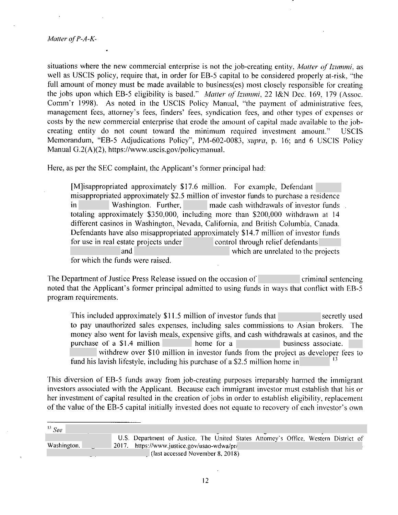situations where the new commercial enterprise is not the job-creating entity, *Matter of Izummi*, as well as USCIS policy, require that, in order for EB-5 capital to be considered properly at-risk, "the full amount of money must be made available to business(es) most closely responsible for creating the jobs upon which EB-5 eligibility is based." *Matter of Izummi*, 22 I&N Dec. 169, 179 (Assoc. Comm'r 1998). As noted in the USCIS Policy Manual, "the payment of administrative fees, management fees, attorney's fees, finders' fees, syndication fees, and other types of expenses or costs by the new commercial enterprise that erode the amount of capital made available to the jobcreating entity do not count toward the minimum required investment amount." USCIS Memorandum, "EB-5 Adjudications Policy", PM-602-0083 , *supra,* p. 16; and 6 USCJS Policy Manual G.2(A)(2), https://www.uscis.gov/policymanual.

Here, as per the SEC complaint, the Applicant's former principal had:

[M]isappropriated approximately \$17.6 million. For example, Defendant misappropriated approximately \$2.5 million of investor funds to purchase a residence in Washington. Further, made cash withdrawals of investor funds totaling approximately \$350,000, including more than \$200,000 withdrawn at 14 different casinos in Washington, Nevada, California, and British Columbia, Canada. Defendants have also misappropriated approximately \$14.7 million of investor funds for use in real estate projects under control through relief defendants and which are unrelated to the projects for which the funds were raised.

The Department of Justice Press Release issued on the occasion of criminal sentencing noted that the Applicant's former principal admitted to using funds in ways that conflict with EB-5 program requirements.

This included approximately \$11.5 million of investor funds that secretly used to pay unauthorized sales expenses, including sales commissions to Asian brokers. The money also went for lavish meals, expensive gifts, and cash withdrawals at casinos, and the purchase of a \$1.4 million home for a business associate. withdrew over \$10 million in investor funds from the project as developer fees to fund his lavish lifestyle, including his purchase of a \$2.5 million home in

This diversion of EB-5 funds away from job-creating purposes irreparably harmed the immigrant investors associated with the Applicant. Because each immigrant investor must establish that his or her investment of capital resulted in the creation of jobs in order to establish eligibility, replacement of the value of the EB-5 capital initially invested does not equate to recovery of each investor's own

| $^{13}$ See |                                                                                      |
|-------------|--------------------------------------------------------------------------------------|
|             | U.S. Department of Justice, The United States Attorney's Office, Western District of |
| Washington, | 2017. https://www.justice.gov/usao-wdwa/pr/                                          |
|             | (last accessed November 8, 2018)                                                     |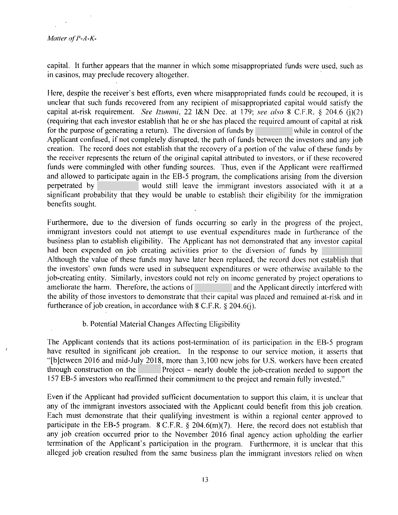capital. It further appears that the manner in which some misappropriated funds were used, such as in casinos, may preclude recovery altogether.

Here, despite the receiver's best efforts, even where misappropriated funds could be recouped, it is unclear that such funds recovered from any recipient of misappropriated capital would satisfy the capital at-risk requirement. *See lzummi,* 22 l&N Dec. at 179; *see also* 8 C.F.R. § 204.6 (i)(2) (requiring that each investor establish that he or she has placed the required amount of capital at risk for the purpose of generating a return). The diversion of funds by while in control of the Applicant confused, if not completely disrupted, the path of funds between the investors and any job creation. The record does not establish that the recovery of a portion of the value of these funds by the receiver represents the return of the original capital attributed to investors, or if these recovered funds were commingled with other funding sources. Thus, even if the Applicant were reaffirmed and allowed to participate again in the EB-5 program, the complications arising from the diversion perpetrated by would still leave the immigrant investors associated with it at a significant probability that they would be unable to establish their eligibility for the immigration benefits sought.

Furthermore, due to the diversion of funds occurring so early in the progress of the project, immigrant investors could not attempt to use eventual expenditures made in furtherance of the business plan to establish eligibility. The Applicant has not demonstrated that any investor capital had been expended on job creating activities prior to the diversion of funds by Although the value of these funds may have later been replaced, the record does not establish that the investors' own funds were used in subsequent expenditures or were otherwise available to the job-creating entity. Similarly, investors could not rely on income generated by project operations to ameliorate the harm. Therefore, the actions of and the Applicant directly interfered with the ability of those investors to demonstrate that their capital was placed and remained at-risk and in furtherance of job creation, in accordance with 8 C.F.R. § 204.6(j).

# b. Potential Material Changes Affecting Eligibility

The Applicant contends that its actions post-termination of its participation in the EB-5 program have resulted in significant job creation. In the response to our service motion, it asserts that "[b]etween 2016 and mid-July 2018, more than 3,100 new jobs for U.S. workers have been created through construction on the Project – nearly double the job-creation needed to support the 157 EB-5 investors who reaffinned their commitment to the project and remain fully invested."

Even if the Applicant had provided sufficient documentation to support this claim, it is unclear that any of the immigrant investors associated with the Applicant could benefit from this job creation. Each must demonstrate that their qualifying investment is within a regional center approved to participate in the EB-5 program. 8 C.F.R. § 204.6(m)(7). Here, the record does not establish that any job creation occurred prior to the November 2016 final agency action upholding the earlier termination of the Applicant's participation in the program. Furthermore, it is unclear that this alleged job creation resulted from the same business plan the immigrant investors relied on when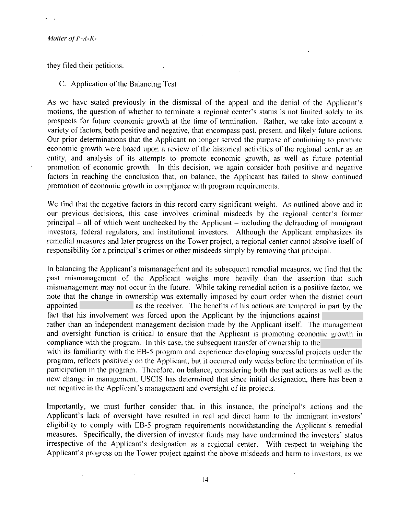they filed their petitions.

# C. Application of the Balancing Test

As we have stated previously in the dismissal of the appeal and the denial of the Applicant's motions, the question of whether to terminate a regional center's status is not limited solely to its prospects for future economic growth at the time of termination. Rather, we take into account a variety of factors, both positive and negative, that encompass past, present, and likely future actions. Our prior determinations that the Applicant no longer served the purpose of continuing to promote economic growth were based upon a review of the historical activities of the regional center as an entity, and analysis of its attempts to promote economic growth, as well as future potential promotion of economic growth. · In this decision, we again consider both positive and negative factors in reaching the conclusion that, on balance, the Applicant has failed to show continued promotion of economic growth in compljance with program requirements.

We find that the negative factors in this record carry significant weight. As outlined above and in our previous decisions, this case involves criminal misdeeds by the regional center's former principal - all of which went unchecked by the Applicant - including the defrauding of immigrant investors, federal regulators, and institutional investors. Although the Applicant emphasizes its remedial measures and later progress on the Tower project, a regional center cannot absolve itself of responsibility for a principal's crimes or other misdeeds simply by removing that principal.

In balancing the Applicant's mismanagement and its subsequent remedial measures, we find that the past mismanagement of the Applicant weighs more heavily than the assertion that such mismanagement may not occur in the future. While taking remedial action is a positive factor, we note that the change in ownership was externally imposed by court order when the district court appointed as the receiver. The benefits of his actions are tempered in part by the fact that his involvement was forced upon the Applicant by the injunctions against rather than an independent management decision made by the Applicant itself. The management and oversight function is critical to ensure that the Applicant is promoting economic growth in compliance with the program. In this case, the subsequent transfer of ownership to the with its familiarity with the EB-5 program and experience developing successful projects under the program, reflects positively on the Applicant, but it occurred only weeks before the termination of its participation in the program. Therefore, on balance, considering both the past actions as well as the new change in management, USCIS has determined that since initial designation, there has been a

net negative in the Applicant's management and oversight of its projects.

Importantly, we must further consider that, in this instance, the principal's actions and the Applicant's lack of oversight have resulted in real and direct harm to the immigrant investors' eligibility to comply with EB-5 program requirements notwithstanding the Applicant's remedial measures. Specifically, the diversion of investor funds may have undermined the investors' status irrespective of the Applicant's designation as a regional center. With respect to weighing the Applicant's progress on the Tower project against the above misdeeds and harm to investors, as we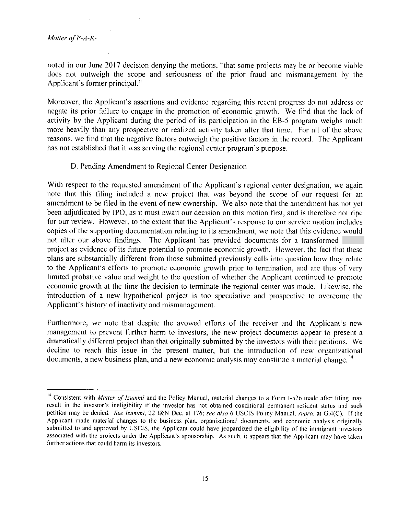noted in our June 2017 decision denying the motions, "that some projects may be or become viable does not outweigh the scope and seriousness of the prior fraud and mismanagement by the Applicant's former principal."

Moreover, the Applicant's assertions and evidence regarding this recent progress do not address or negate its prior failure to engage in the promotion of economic growth. We find that the lack of activity by the Applicant during the period of its participation in the EB-5 program weighs much more heavily than any prospective or realized activity taken after that time. For all of the above reasons, we find that the negative factors outweigh the positive factors in the record. The Applicant has not established that it was serving the regional center program's purpose.

# D. Pending Amendment to Regional Center Designation

With respect to the requested amendment of the Applicant's regional center designation, we again note that this filing included a new project that was beyond the scope of our request for an amendment to be filed in the event of new ownership. We also note that the amendment has not yet been adju'dicated by IPO, as it must await our decision on this motion first, and is therefore not ripe for our review. However, to the extent that the Applicant's response to our service motion includes copies of the supporting documentation relating to its amendment, we note that this evidence would not alter our above findings. The Applicant has provided documents for a transformed project as evidence of its future potential to promote economic growth. However, the fact that these <sup>p</sup>lans are substantially different from those submitted previously calls into question how they relate to the Applicant's efforts to promote economic growth prior to termination, and arc thus of very limited probative value and weight to the question of whether the Applicant continued to promote economic growth at the time the decision to terminate the regional center was made. Likewise, the introduction of a new hypothetical project is too speculative and prospective to overcome the Applicant's history of inactivity and mismanagement.

Furthermore, we note that despite the avowed efforts of the receiver and the Applicant's new management to prevent further harm to investors, the new project documents appear to present a dramatically different project than that originally submitted by the investors with their petitions. We decline to reach this issue in the present matter, but the introduction of new organizational documents, a new business plan, and a new economic analysis may constitute a material change.<sup>14</sup>

<sup>&</sup>lt;sup>14</sup> Consistent with *Matter of Izummi* and the Policy Manual, material changes to a Form I-526 made after filing may result in the investor's ineligibility if the investor has not obtained conditional permanent resident status and such petition may be denied. *See lzummi,* 22 l&N Dec. at l 76; *see also* 6 USCIS Policy Manual. *supm.* at G.4(C). If the Applicant made material changes to the business plan, organizational documents. and economic analysis originally submitted to and approved by USCIS. the Applicant could have jeopardized the eligibility of the immigrant investors associated with the projects under the Applicant's sponsorship. As such, it appears that the Applicant may have taken further actions that could harm its investors,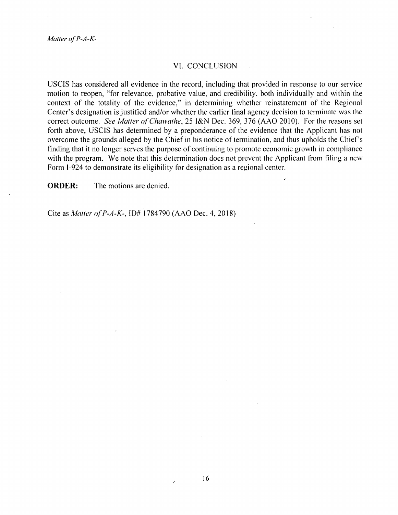Matter of P-A-K-

### VI. CONCLUSION

USCIS has considered all evidence in the record, including that provided in response to our service motion to reopen, "for relevance, probative value, and credibility, both individually and within the context of the totality of the evidence," in determining whether reinstatement of the Regional Center's designation is justified and/or whether the earlier final agency decision to terminate was the correct outcome. *See Matter of Chawathe*, 25 I&N Dec. 369, 376 (AAO 2010). For the reasons set forth above, USCIS has determined by a preponderance of the evidence that the Applicant has not overcome the grounds alleged by the Chief in his notice of termination, and thus upholds the Chief's finding that it no longer serves the purpose of continuing to promote economic growth in compliance with the program. We note that this determination does not prevent the Applicant from filing a new Form 1-924 to demonstrate its eligibility for designation as a regional center.

**ORDER:** The motions are denied.

Cite as *Mauer <f P-A-K-,* ID# 1784790 (AAO Dec. 4, 2018)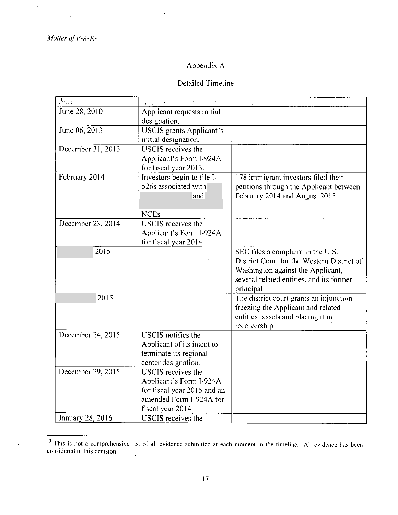$\overline{\mathcal{L}}$ 

 $\overline{\phantom{a}}$ 

 $\bar{z}$ 

à,

# Appendix A

# Detailed Timeline

| $\mathfrak{F}^{\mathbb{C}}_{\mathbb{C}^{\mathbb{C}}\times\mathbb{C}^{\mathbb{C}}}$ | gal and a community                                                                                                                 |                                                                                                                                                                                |
|------------------------------------------------------------------------------------|-------------------------------------------------------------------------------------------------------------------------------------|--------------------------------------------------------------------------------------------------------------------------------------------------------------------------------|
| June 28, 2010                                                                      | Applicant requests initial<br>designation.                                                                                          |                                                                                                                                                                                |
| June 06, 2013                                                                      | <b>USCIS</b> grants Applicant's<br>initial designation.                                                                             |                                                                                                                                                                                |
| December 31, 2013                                                                  | USCIS receives the<br>Applicant's Form I-924A<br>for fiscal year 2013.                                                              |                                                                                                                                                                                |
| February 2014                                                                      | Investors begin to file I-<br>526s associated with<br>and<br><b>NCEs</b>                                                            | 178 immigrant investors filed their<br>petitions through the Applicant between<br>February 2014 and August 2015.                                                               |
| December 23, 2014                                                                  | <b>USCIS</b> receives the<br>Applicant's Form I-924A<br>for fiscal year 2014.                                                       |                                                                                                                                                                                |
| 2015                                                                               |                                                                                                                                     | SEC files a complaint in the U.S.<br>District Court for the Western District of<br>Washington against the Applicant,<br>several related entities, and its former<br>principal. |
| 2015                                                                               |                                                                                                                                     | The district court grants an injunction<br>freezing the Applicant and related<br>entities' assets and placing it in<br>receivership.                                           |
| December 24, 2015                                                                  | USCIS notifies the<br>Applicant of its intent to<br>terminate its regional<br>center designation.                                   |                                                                                                                                                                                |
| December 29, 2015                                                                  | <b>USCIS</b> receives the<br>Applicant's Form I-924A<br>for fiscal year 2015 and an<br>amended Form I-924A for<br>fiscal year 2014. |                                                                                                                                                                                |
| January 28, 2016                                                                   | <b>USCIS</b> receives the                                                                                                           |                                                                                                                                                                                |

<sup>15</sup>This is not a comprehensive list of all evidence submitted at each moment in the timcline. All evidence has been considered in this decision.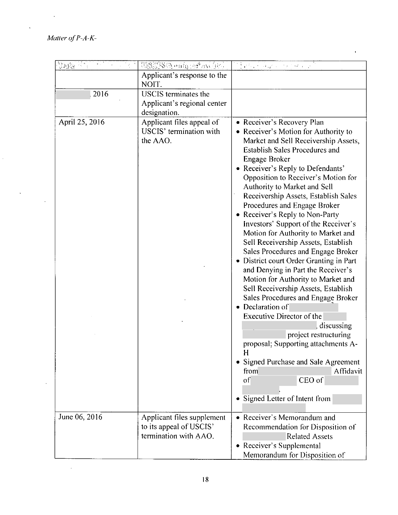$\hat{\mathbf{v}}$ 

 $\hat{\mathcal{L}}$ 

 $\overline{\phantom{a}}$ 

 $\bar{\star}$ 

 $\bar{\beta}$ 

| ter            | <b>TANKA HIGHTAIN</b>                                                          | $\frac{1}{2} \left( \left\{ \hat{U}_{\text{A}} \right\} - \left\{ \hat{U}_{\text{A}} \right\} \right) \leq \frac{1}{2} \left( \frac{1}{2} \left( \hat{U}_{\text{A}} \right) - \left( \hat{U}_{\text{A}} \right) \right) \leq \frac{1}{2} \left( \hat{U}_{\text{A}} \right) \leq \frac{1}{2} \left( \hat{U}_{\text{A}} \right) \leq \frac{1}{2} \left( \hat{U}_{\text{A}} \right) \leq \frac{1}{2} \left( \hat{U}_{\text{A}} \right) \leq \frac{1}{2}$                                                                                                                                                                                                                                                                                                                                                                                                                                                                                                                                                         |
|----------------|--------------------------------------------------------------------------------|---------------------------------------------------------------------------------------------------------------------------------------------------------------------------------------------------------------------------------------------------------------------------------------------------------------------------------------------------------------------------------------------------------------------------------------------------------------------------------------------------------------------------------------------------------------------------------------------------------------------------------------------------------------------------------------------------------------------------------------------------------------------------------------------------------------------------------------------------------------------------------------------------------------------------------------------------------------------------------------------------------------|
|                | Applicant's response to the<br>NOIT.                                           |                                                                                                                                                                                                                                                                                                                                                                                                                                                                                                                                                                                                                                                                                                                                                                                                                                                                                                                                                                                                               |
| 2016           | <b>USCIS</b> terminates the<br>Applicant's regional center<br>designation.     |                                                                                                                                                                                                                                                                                                                                                                                                                                                                                                                                                                                                                                                                                                                                                                                                                                                                                                                                                                                                               |
| April 25, 2016 | Applicant files appeal of<br>USCIS' termination with<br>the AAO.               | • Receiver's Recovery Plan<br>• Receiver's Motion for Authority to<br>Market and Sell Receivership Assets,<br><b>Establish Sales Procedures and</b><br>Engage Broker<br>• Receiver's Reply to Defendants'<br>Opposition to Receiver's Motion for<br>Authority to Market and Sell<br>Receivership Assets, Establish Sales<br>Procedures and Engage Broker<br>• Receiver's Reply to Non-Party<br>Investors' Support of the Receiver's<br>Motion for Authority to Market and<br>Sell Receivership Assets, Establish<br>Sales Procedures and Engage Broker<br>• District court Order Granting in Part<br>and Denying in Part the Receiver's<br>Motion for Authority to Market and<br>Sell Receivership Assets, Establish<br>Sales Procedures and Engage Broker<br>• Declaration of<br>Executive Director of the<br>discussing<br>project restructuring<br>proposal; Supporting attachments A-<br>H<br>• Signed Purchase and Sale Agreement<br>Affidavit<br>from<br>CEO of<br>of<br>• Signed Letter of Intent from |
| June 06, 2016  | Applicant files supplement<br>to its appeal of USCIS'<br>termination with AAO. | • Receiver's Memorandum and<br>Recommendation for Disposition of<br><b>Related Assets</b><br>• Receiver's Supplemental<br>Memorandum for Disposition of                                                                                                                                                                                                                                                                                                                                                                                                                                                                                                                                                                                                                                                                                                                                                                                                                                                       |

 $\hat{\mathbf{r}}$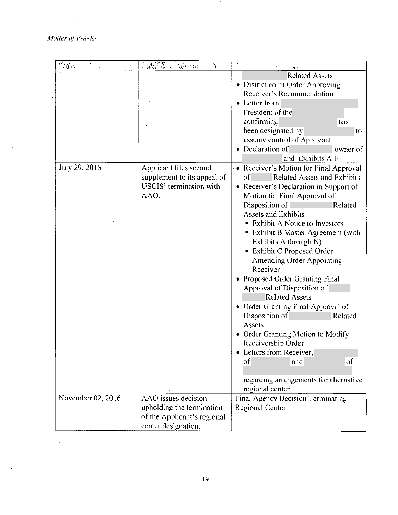*Matter of P-A-K-*

 $\sim$ 

 $\hat{\boldsymbol{\epsilon}}$ 

 $\bar{z}$ 

.

| <b>PAYES</b>      | USCHER SURVALOR                                                                                        | <b>CATCART AT</b><br>计内容 网络木                                                                                                                                                                                                                                                                                                                                                                                                                                                                                                                                                                                                                                                                                                                      |
|-------------------|--------------------------------------------------------------------------------------------------------|---------------------------------------------------------------------------------------------------------------------------------------------------------------------------------------------------------------------------------------------------------------------------------------------------------------------------------------------------------------------------------------------------------------------------------------------------------------------------------------------------------------------------------------------------------------------------------------------------------------------------------------------------------------------------------------------------------------------------------------------------|
|                   |                                                                                                        | <b>Related Assets</b><br>• District court Order Approving<br>Receiver's Recommendation<br>• Letter from<br>President of the<br>confirming<br>has<br>been designated by<br>to<br>assume control of Applicant<br>• Declaration of<br>owner of<br>and Exhibits A-F                                                                                                                                                                                                                                                                                                                                                                                                                                                                                   |
| July 29, 2016     | Applicant files second<br>supplement to its appeal of<br>USCIS' termination with<br>AAO.               | • Receiver's Motion for Final Approval<br><b>Related Assets and Exhibits</b><br>of<br>• Receiver's Declaration in Support of<br>Motion for Final Approval of<br>Disposition of<br>Related<br><b>Assets and Exhibits</b><br>• Exhibit A Notice to Investors<br>• Exhibit B Master Agreement (with<br>Exhibits A through N)<br><b>Exhibit C Proposed Order</b><br>Amending Order Appointing<br>Receiver<br>• Proposed Order Granting Final<br>Approval of Disposition of<br><b>Related Assets</b><br>• Order Granting Final Approval of<br>Disposition of<br>Related<br>Assets<br>• Order Granting Motion to Modify<br>Receivership Order<br>Letters from Receiver,<br>οf<br>and<br>of<br>regarding arrangements for alternative<br>regional center |
| November 02, 2016 | AAO issues decision<br>upholding the termination<br>of the Applicant's regional<br>center designation. | Final Agency Decision Terminating<br><b>Regional Center</b>                                                                                                                                                                                                                                                                                                                                                                                                                                                                                                                                                                                                                                                                                       |

 $\sim$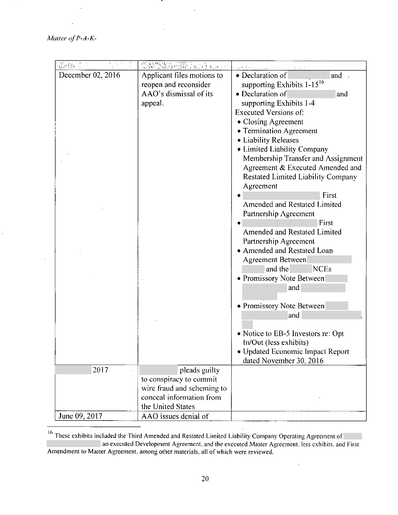*Malter of P-A-K-*

ţ.

.

| December 02, 2016 | Applicant files motions to | • Declaration of<br>and                |
|-------------------|----------------------------|----------------------------------------|
|                   | reopen and reconsider      | supporting Exhibits 1-15 <sup>16</sup> |
|                   | AAO's dismissal of its     | • Declaration of<br>and                |
|                   | appeal.                    | supporting Exhibits 1-4                |
|                   |                            | <b>Executed Versions of:</b>           |
|                   |                            | • Closing Agreement                    |
|                   |                            | • Termination Agreement                |
|                   |                            | • Liability Releases                   |
|                   |                            | • Limited Liability Company            |
|                   |                            | Membership Transfer and Assignment     |
|                   |                            | Agreement & Executed Amended and       |
|                   |                            | Restated Limited Liability Company     |
|                   |                            | Agreement                              |
|                   |                            | First                                  |
|                   |                            | Amended and Restated Limited           |
|                   |                            | Partnership Agreement                  |
|                   |                            | First                                  |
|                   |                            | <b>Amended and Restated Limited</b>    |
|                   |                            | Partnership Agreement                  |
|                   |                            | • Amended and Restated Loan            |
|                   |                            | <b>Agreement Between</b>               |
|                   |                            | and the<br><b>NCEs</b>                 |
|                   |                            | • Promissory Note Between              |
|                   |                            | and                                    |
|                   |                            |                                        |
|                   |                            | • Promissory Note Between              |
|                   |                            | and                                    |
|                   |                            |                                        |
|                   |                            | • Notice to EB-5 Investors re: Opt     |
|                   |                            | In/Out (less exhibits)                 |
|                   |                            | • Updated Economic Impact Report       |
|                   |                            | dated November 30. 2016                |
| 2017              | pleads guilty              |                                        |
|                   | to conspiracy to commit    |                                        |
|                   | wire fraud and scheming to |                                        |
|                   | conceal information from   |                                        |
|                   | the United States          |                                        |
| June 09, 2017     | AAO issues denial of       |                                        |

l,

 $16$ <sup>16</sup> These exhibits included the Third Amended and Restated Limited Liability Company Operating Agreement of an executed Development Agreement, and the executed Master Agreement. less exhibits. and First Amendment to Master Agreement. among other materials, all of which were reviewed.

 $\hat{\mathbf{v}}$